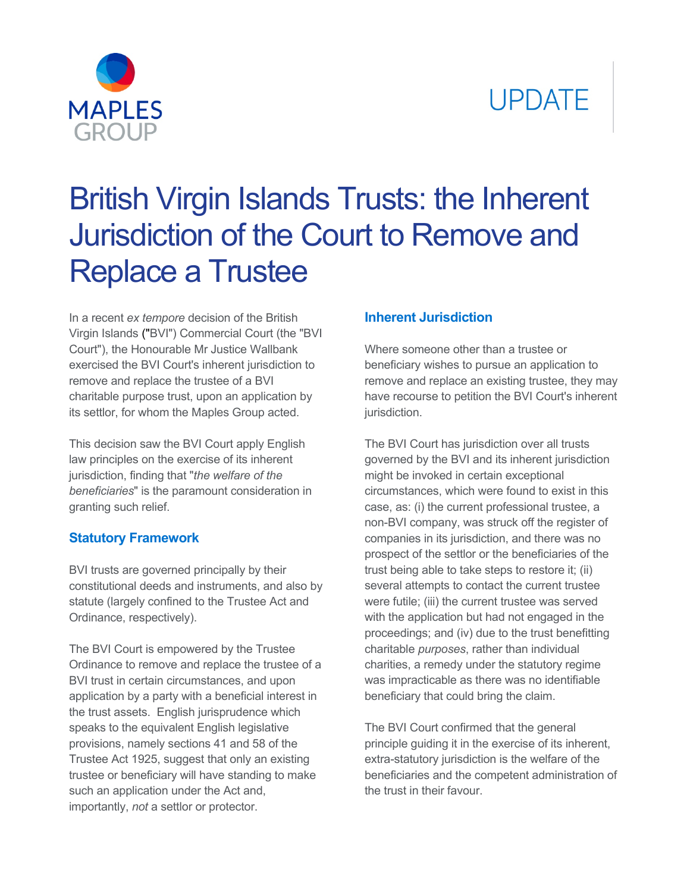# **UPDATE**



## British Virgin Islands Trusts: the Inherent Jurisdiction of the Court to Remove and Replace a Trustee

In a recent *ex tempore* decision of the British Virgin Islands ("BVI") Commercial Court (the "BVI Court"), the Honourable Mr Justice Wallbank exercised the BVI Court's inherent jurisdiction to remove and replace the trustee of a BVI charitable purpose trust, upon an application by its settlor, for whom the Maples Group acted.

This decision saw the BVI Court apply English law principles on the exercise of its inherent jurisdiction, finding that "*the welfare of the beneficiaries*" is the paramount consideration in granting such relief.

### **Statutory Framework**

BVI trusts are governed principally by their constitutional deeds and instruments, and also by statute (largely confined to the Trustee Act and Ordinance, respectively).

The BVI Court is empowered by the Trustee Ordinance to remove and replace the trustee of a BVI trust in certain circumstances, and upon application by a party with a beneficial interest in the trust assets. English jurisprudence which speaks to the equivalent English legislative provisions, namely sections 41 and 58 of the Trustee Act 1925, suggest that only an existing trustee or beneficiary will have standing to make such an application under the Act and, importantly, *not* a settlor or protector.

### **Inherent Jurisdiction**

Where someone other than a trustee or beneficiary wishes to pursue an application to remove and replace an existing trustee, they may have recourse to petition the BVI Court's inherent jurisdiction.

The BVI Court has jurisdiction over all trusts governed by the BVI and its inherent jurisdiction might be invoked in certain exceptional circumstances, which were found to exist in this case, as: (i) the current professional trustee, a non-BVI company, was struck off the register of companies in its jurisdiction, and there was no prospect of the settlor or the beneficiaries of the trust being able to take steps to restore it; (ii) several attempts to contact the current trustee were futile; (iii) the current trustee was served with the application but had not engaged in the proceedings; and (iv) due to the trust benefitting charitable *purposes*, rather than individual charities, a remedy under the statutory regime was impracticable as there was no identifiable beneficiary that could bring the claim.

The BVI Court confirmed that the general principle guiding it in the exercise of its inherent, extra-statutory jurisdiction is the welfare of the beneficiaries and the competent administration of the trust in their favour.